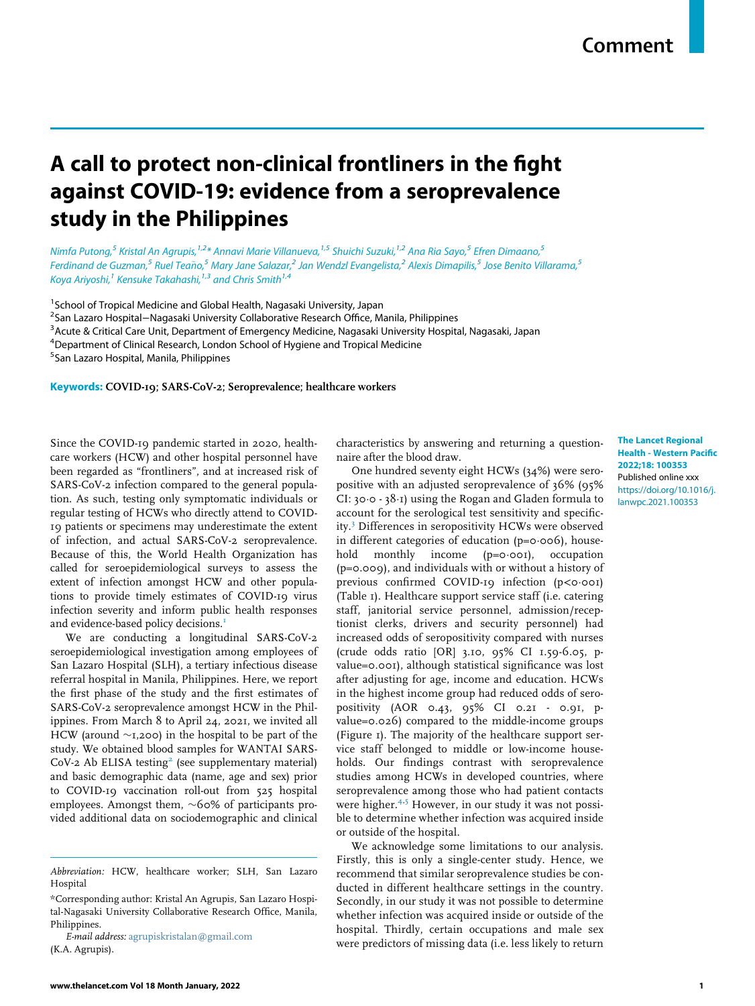# A call to protect non-clinical frontliners in the fight against COVID-19: evidence from a seroprevalence study in the Philippines

## Nimfa Putong,<sup>[5](#page-0-0)</sup> Kristal An Agrupis,<sup>[1,](#page-0-1)[2](#page-0-2)</sup>[\\*](#page-0-3) Annavi Marie Villanueva,<sup>[1](#page-0-1),5</sup> Shuichi Suzuki,<sup>1,2</sup> Ana Ria Sayo,<sup>5</sup> Efren Dimaano,<sup>5</sup> Ferdinand de Guzman,<sup>[5](#page-0-0)</sup> Ruel Teaño,<sup>5</sup> Mary Jane Salazar,<sup>[2](#page-0-2)</sup> Jan Wendzl Evangelista,<sup>2</sup> Alexis Dimapilis,<sup>5</sup> Jose Benito Villarama,<sup>5</sup> Koya Ariyoshi,<sup>[1](#page-0-1)</sup> Kensuke Takahashi,<sup>[1,](#page-0-1)[3](#page-0-4)</sup> and Chris Smith<sup>1,[4](#page-0-5)</sup>

<span id="page-0-1"></span><sup>1</sup> School of Tropical Medicine and Global Health, Nagasaki University, Japan

<span id="page-0-2"></span><sup>2</sup>San Lazaro Hospital–Nagasaki University Collaborative Research Office, Manila, Philippines<br><sup>3</sup>Acute & Critical Care Unit, Department of Emergency Medicine, Nagasaki University Hospit

<span id="page-0-4"></span><sup>3</sup> Acute & Critical Care Unit, Department of Emergency Medicine, Nagasaki University Hospital, Nagasaki, Japan

<span id="page-0-5"></span><sup>4</sup>Department of Clinical Research, London School of Hygiene and Tropical Medicine

<span id="page-0-0"></span>5 San Lazaro Hospital, Manila, Philippines

Keywords: COVID-19; SARS-CoV-2; Seroprevalence; healthcare workers

Since the COVID-19 pandemic started in 2020, healthcare workers (HCW) and other hospital personnel have been regarded as "frontliners", and at increased risk of SARS-CoV-2 infection compared to the general population. As such, testing only symptomatic individuals or regular testing of HCWs who directly attend to COVID-19 patients or specimens may underestimate the extent of infection, and actual SARS-CoV-2 seroprevalence. Because of this, the World Health Organization has called for seroepidemiological surveys to assess the extent of infection amongst HCW and other populations to provide timely estimates of COVID-19 virus infection severity and inform public health responses and evidence-based policy decisions.<sup>[1](#page-1-0)</sup>

We are conducting a longitudinal SARS-CoV-2 seroepidemiological investigation among employees of San Lazaro Hospital (SLH), a tertiary infectious disease referral hospital in Manila, Philippines. Here, we report the first phase of the study and the first estimates of SARS-CoV-2 seroprevalence amongst HCW in the Philippines. From March 8 to April 24, 2021, we invited all HCW (around  $\sim$ 1,200) in the hospital to be part of the study. We obtained blood samples for WANTAI SARS- $CoV-2$  $CoV-2$  Ab ELISA testing<sup>2</sup> (see supplementary material) and basic demographic data (name, age and sex) prior to COVID-19 vaccination roll-out from 525 hospital employees. Amongst them,  $\sim 60\%$  of participants provided additional data on sociodemographic and clinical characteristics by answering and returning a questionnaire after the blood draw.

One hundred seventy eight HCWs (34%) were seropositive with an adjusted seroprevalence of 36% (95% CI:  $30.0 - 38.1$ ) using the Rogan and Gladen formula to account for the serological test sensitivity and specificity.[3](#page-1-2) Differences in seropositivity HCWs were observed in different categories of education ( $p=0.006$ ), house-<br>hold monthly income ( $p=0.001$ ), occupation monthly income ( $p=0.001$ ), occupation (p=0.009), and individuals with or without a history of previous confirmed COVID-19 infection (p<0.001) (Table 1). Healthcare support service staff (i.e. catering staff, janitorial service personnel, admission/receptionist clerks, drivers and security personnel) had increased odds of seropositivity compared with nurses (crude odds ratio [OR] 3.10, 95% CI 1.59-6.05, pvalue=0.001), although statistical significance was lost after adjusting for age, income and education. HCWs in the highest income group had reduced odds of seropositivity (AOR 0.43, 95% CI 0.21 - 0.91, pvalue=0.026) compared to the middle-income groups (Figure 1). The majority of the healthcare support service staff belonged to middle or low-income households. Our findings contrast with seroprevalence studies among HCWs in developed countries, where seroprevalence among those who had patient contacts were higher.<sup>[4,](#page-1-3)[5](#page-1-4)</sup> However, in our study it was not possible to determine whether infection was acquired inside or outside of the hospital.

We acknowledge some limitations to our analysis. Firstly, this is only a single-center study. Hence, we recommend that similar seroprevalence studies be conducted in different healthcare settings in the country. Secondly, in our study it was not possible to determine whether infection was acquired inside or outside of the hospital. Thirdly, certain occupations and male sex were predictors of missing data (i.e. less likely to return

The Lancet Regional Health - Western Pacific 2022;18: 100353 Published online xxx [https://doi.org/10.1016/j.](https://doi.org/10.1016/j.lanwpc.2021.100353) [lanwpc.2021.100353](https://doi.org/10.1016/j.lanwpc.2021.100353)

Abbreviation: HCW, healthcare worker; SLH, San Lazaro Hospital

<span id="page-0-3"></span><sup>\*</sup>Corresponding author: Kristal An Agrupis, San Lazaro Hospital-Nagasaki University Collaborative Research Office, Manila, Philippines.

E-mail address: [agrupiskristalan@gmail.com](mailto:agrupiskristalan@gmail.com) (K.A. Agrupis).